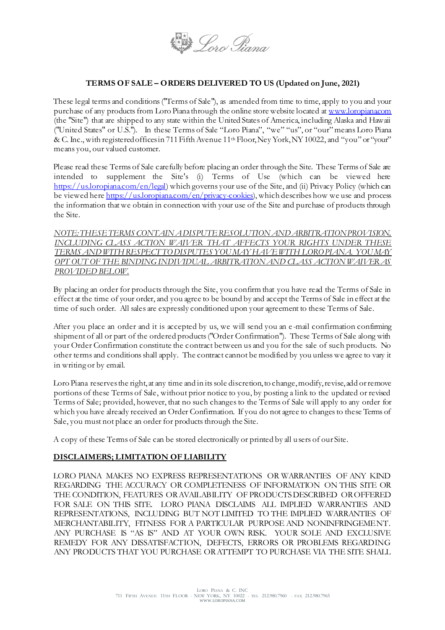

# **TERMS OF SALE – ORDERS DELIVERED TO US (Updated on June, 2021)**

These legal terms and conditions ("Terms of Sale"), as amended from time to time, apply to you and your purchase of any products from Loro Piana through the online store website located a[t www.loropiana.com](http://www.loropiana.com/) (the "Site") that are shipped to any state within the United States of America, including Alaska and Hawaii ("United States" or U.S."). In these Terms of Sale "Loro Piana", "we" "us", or "our" means Loro Piana & C. Inc., with registered offices in 711 Fifth Avenue 11<sup>th</sup> Floor, Ney York, NY 10022, and "you" or "your" means you, our valued customer.

Please read these Terms of Sale carefully before placing an order through the Site. These Terms of Sale are intended to supplement the Site's (i) Terms of Use (which can be viewed here [https://us.loropiana.com/en/legal\)](https://us.loropiana.com/en/legal) which governs your use of the Site, and (ii) Privacy Policy (which can be viewed her[e https://us.loropiana.com/en/privacy-cookies\),](https://us.loropiana.com/en/privacy-cookies) which describes how we use and process the information that we obtain in connection with your use of the Site and purchase of products through the Site.

*NOTE:THESE TERMS CONTAIN A DISPUTE RESOLUTION AND ARBITRATION PROVISION, INCLUDING CLASS ACTION WAIVER THAT AFFECTS YOUR RIGHTS UNDER THESE TERMS AND WITH RESPECT TO DISPUTES YOU MAY HAVE WITH LORO PIANA. YOU MAY OPT OUT OF THE BINDING INDIVIDUAL ARBITRATION AND CLASS ACTION WAIVER AS PROVIDED BELOW.*

By placing an order for products through the Site, you confirm that you have read the Terms of Sale in effect at the time of your order, and you agree to be bound by and accept the Terms of Sale in effect at the time of such order. All sales are expressly conditioned upon your agreement to these Terms of Sale.

After you place an order and it is accepted by us, we will send you an e -mail confirmation confirming shipment of all or part of the ordered products ("Order Confirmation"). These Terms of Sale along with your Order Confirmation constitute the contract between us and you for the sale of such products. No other terms and conditions shall apply. The contract cannot be modified by you unless we agree to vary it in writing or by email.

Loro Piana reserves the right, at any time and in its sole discretion, to change, modify, revise, add or remove portions of these Terms of Sale, without prior notice to you, by posting a link to the updated or revised Terms of Sale; provided, however, that no such changes to the Terms of Sale will apply to any order for which you have already received an Order Confirmation. If you do not agree to changes to these Terms of Sale, you must not place an order for products through the Site.

A copy of these Terms of Sale can be stored electronically or printed by all users of our Site.

### **DISCLAIMERS; LIMITATION OF LIABILITY**

LORO PIANA MAKES NO EXPRESS REPRESENTATIONS OR WARRANTIES OF ANY KIND REGARDING THE ACCURACY OR COMPLETENESS OF INFORMATION ON THIS SITE OR THE CONDITION, FEATURES OR AVAILABILITY OF PRODUCTS DESCRIBED OR OFFERED FOR SALE ON THIS SITE. LORO PIANA DISCLAIMS ALL IMPLIED WARRANTIES AND REPRESENTATIONS, INCLUDING BUT NOT LIMITED TO THE IMPLIED WARRANTIES OF MERCHANTABILITY, FITNESS FOR A PARTICULAR PURPOSE AND NONINFRINGEMENT. ANY PURCHASE IS "AS IS" AND AT YOUR OWN RISK. YOUR SOLE AND EXCLUSIVE REMEDY FOR ANY DISSATISFACTION, DEFECTS, ERRORS OR PROBLEMS REGARDING ANY PRODUCTS THAT YOU PURCHASE OR ATTEMPT TO PURCHASE VIA THE SITE SHALL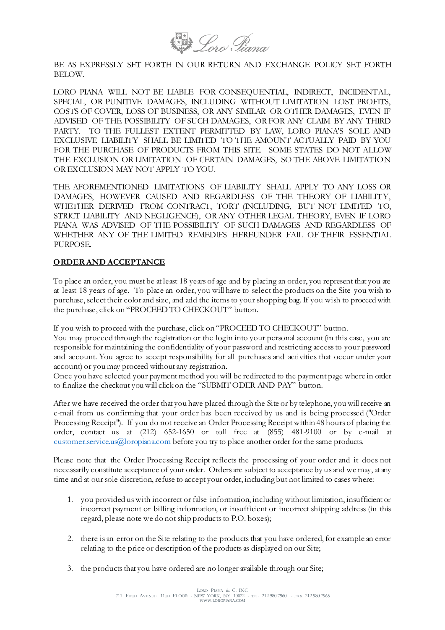

BE AS EXPRESSLY SET FORTH IN OUR RETURN AND EXCHANGE POLICY SET FORTH BELOW.

LORO PIANA WILL NOT BE LIABLE FOR CONSEQUENTIAL, INDIRECT, INCIDENTAL, SPECIAL, OR PUNITIVE DAMAGES, INCLUDING WITHOUT LIMITATION LOST PROFITS, COSTS OF COVER, LOSS OF BUSINESS, OR ANY SIMILAR OR OTHER DAMAGES, EVEN IF ADVISED OF THE POSSIBILITY OF SUCH DAMAGES, OR FOR ANY CLAIM BY ANY THIRD PARTY. TO THE FULLEST EXTENT PERMITTED BY LAW, LORO PIANA'S SOLE AND EXCLUSIVE LIABILITY SHALL BE LIMITED TO THE AMOUNT ACTUALLY PAID BY YOU FOR THE PURCHASE OF PRODUCTS FROM THIS SITE. SOME STATES DO NOT ALLOW THE EXCLUSION OR LIMITATION OF CERTAIN DAMAGES, SO THE ABOVE LIMITATION OR EXCLUSION MAY NOT APPLY TO YOU.

THE AFOREMENTIONED LIMITATIONS OF LIABILITY SHALL APPLY TO ANY LOSS OR DAMAGES, HOWEVER CAUSED AND REGARDLESS OF THE THEORY OF LIABILITY, WHETHER DERIVED FROM CONTRACT, TORT (INCLUDING, BUT NOT LIMITED TO, STRICT LIABILITY AND NEGLIGENCE), OR ANY OTHER LEGAL THEORY, EVEN IF LORO PIANA WAS ADVISED OF THE POSSIBILITY OF SUCH DAMAGES AND REGARDLESS OF WHETHER ANY OF THE LIMITED REMEDIES HEREUNDER FAIL OF THEIR ESSENTIAL PURPOSE.

#### **ORDER AND ACCEPTANCE**

To place an order, you must be at least 18 years of age and by placing an order, you represent that you are at least 18 years of age. To place an order, you will have to select the products on the Site you wish to purchase, select their color and size, and add the items to your shopping bag. If you wish to proceed with the purchase, click on "PROCEED TO CHECKOUT" button.

If you wish to proceed with the purchase, click on "PROCEED TO CHECKOUT" button.

You may proceed through the registration or the login into your personal account (in this case, you are responsible for maintaining the confidentiality of your password and restricting access to your password and account. You agree to accept responsibility for all purchases and activities that occur under your account) or you may proceed without any registration.

Once you have selected your payment method you will be redirected to the payment page where in order to finalize the checkout you will click on the "SUBMIT ODER AND PAY" button.

After we have received the order that you have placed through the Site or by telephone, you will receive an e-mail from us confirming that your order has been received by us and is being processed ("Order Processing Receipt"). If you do not receive an Order Processing Receipt within 48 hours of placing the order, contact us at (212) 652-1650 or toll free at (855) 481-9100 or by e-mail at [customer.service.us@loropiana.com](mailto:customer.service.us@loropiana.com) before you try to place another order for the same products.

Please note that the Order Processing Receipt reflects the processing of your order and it does not necessarily constitute acceptance of your order. Orders are subject to acceptance by us and we may, at any time and at our sole discretion, refuse to accept your order, including but not limited to cases where:

- 1. you provided us with incorrect or false information, including without limitation, insufficient or incorrect payment or billing information, or insufficient or incorrect shipping address (in this regard, please note we do not ship products to P.O. boxes);
- 2. there is an error on the Site relating to the products that you have ordered, for example an error relating to the price or description of the products as displayed on our Site;
- 3. the products that you have ordered are no longer available through our Site;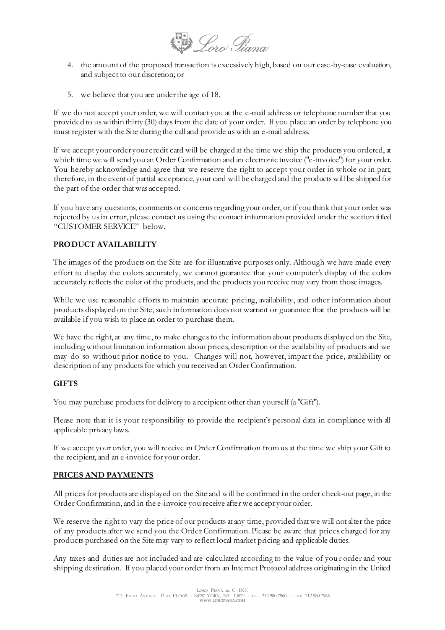**Dero Piana** 

- 4. the amount of the proposed transaction is excessively high, based on our case -by-case evaluation, and subject to our discretion; or
- 5. we believe that you are under the age of 18.

If we do not accept your order, we will contact you at the e -mail address or telephone number that you provided to us within thirty (30) days from the date of your order. If you place an order by telephone you must register with the Site during the call and provide us with an e -mail address.

If we accept your order your credit card will be charged at the time we ship the products you ordered, at which time we will send you an Order Confirmation and an electronic invoice ("e-invoice") for your order. You hereby acknowledge and agree that we reserve the right to accept your order in whole or in part; therefore, in the event of partial acceptance, your card will be charged and the products will be shipped for the part of the order that was accepted.

If you have any questions, comments or concerns regarding your order, or if you think that your order was rejected by us in error, please contact us using the contact information provided under the section titled "CUSTOMER SERVICE" below.

## **PRODUCT AVAILABILITY**

The images of the products on the Site are for illustrative purposes only. Although we have made every effort to display the colors accurately, we cannot guarantee that your computer's display of the colors accurately reflects the color of the products, and the products you receive may vary from those images.

While we use reasonable efforts to maintain accurate pricing, availability, and other information about products displayed on the Site, such information does not warrant or guarantee that the products will be available if you wish to place an order to purchase them.

We have the right, at any time, to make changes to the information about products displayed on the Site, including without limitation information about prices, description or the availability of products and we may do so without prior notice to you. Changes will not, however, impact the price, availability or description of any products for which you received an Order Confirmation.

### **GIFTS**

You may purchase products for delivery to a recipient other than yourself (a "Gift").

Please note that it is your responsibility to provide the recipient's personal data in compliance with all applicable privacy laws.

If we accept your order, you will receive an Order Confirmation from us at the time we ship your Gift to the recipient, and an e-invoice for your order.

#### **PRICES AND PAYMENTS**

All prices for products are displayed on the Site and will be confirmed in the order check-out page, in the Order Confirmation, and in the e-invoice you receive after we accept your order.

We reserve the right to vary the price of our products at any time, provided that we will not alter the price of any products after we send you the Order Confirmation. Please be aware that prices charged for any products purchased on the Site may vary to reflect local market pricing and applicable duties.

Any taxes and duties are not included and are calculated according to the value of you r order and your shipping destination. If you placed your order from an Internet Protocol address originating in the United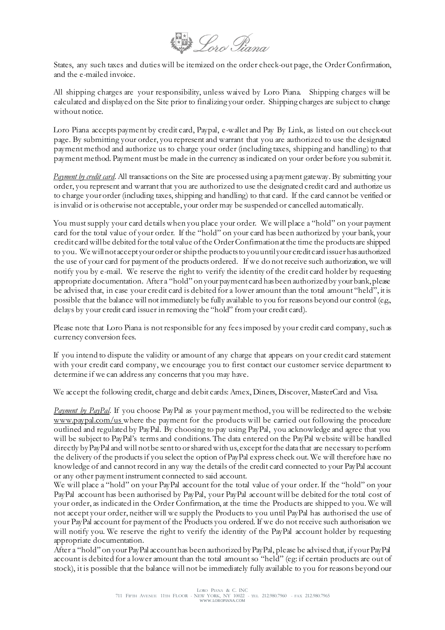**Draw** Loro Tiana

States, any such taxes and duties will be itemized on the order check-out page, the Order Confirmation, and the e-mailed invoice.

All shipping charges are your responsibility, unless waived by Loro Piana. Shipping charges will be calculated and displayed on the Site prior to finalizing your order. Shipping charges are subject to change without notice.

Loro Piana accepts payment by credit card, Paypal, e-wallet and Pay By Link, as listed on out check-out page. By submitting your order, you represent and warrant that you are authorized to use the designated payment method and authorize us to charge your order (including taxes, shipping and handling) to that payment method. Payment must be made in the currency as indicated on your order before you submit it.

*Payment by credit card*. All transactions on the Site are processed using a payment gateway. By submitting your order, you represent and warrant that you are authorized to use the designated credit card and authorize us to charge your order (including taxes, shipping and handling) to that card. If the card cannot be verified or is invalid or is otherwise not acceptable, your order may be suspended or cancelled automatically.

You must supply your card details when you place your order. We will place a "hold" on your payment card for the total value of your order. If the "hold" on your card has been authorized by your bank, your credit card will be debited for the total value of the Order Confirmation at the time the products are shipped to you. We will not accept your order orship the products to you until your credit card issuer has authorized the use of your card for payment of the products ordered. If we do not receive such authorization, we will notify you by e-mail. We reserve the right to verify the identity of the credit card holder by requesting appropriate documentation. After a "hold" on your payment card has been authorized by your bank, please be advised that, in case your credit card is debited for a lower amount than the total amount "held", it is possible that the balance will not immediately be fully available to you for reasons beyond our control (e.g., delays by your credit card issuer in removing the "hold" from your credit card).

Please note that Loro Piana is not responsible for any fees imposed by your credit card company, such as currency conversion fees.

If you intend to dispute the validity or amount of any charge that appears on your credit card statement with your credit card company, we encourage you to first contact our customer service department to determine if we can address any concerns that you may have.

We accept the following credit, charge and debit cards: Amex, Diners, Discover, MasterCard and Visa.

*Payment by PayPal*. If you choose PayPal as your payment method, you will be redirected to the websit[e](http://www.paypal.com/) [www.paypal.com](http://www.paypal.com/)/us where the payment for the products will be carried out following the procedure outlined and regulated by PayPal. By choosing to pay using PayPal, you acknowledge and agree that you will be subject to PayPal's terms and conditions. The data entered on the PayPal website will be handled directly by PayPal and will not be sent to or shared with us, except for the data that are necessary to perform the delivery of the products if you select the option of PayPal express check out. We will therefore have no knowledge of and cannot record in any way the details of the credit card connected to your PayPal account or any other payment instrument connected to said account.

We will place a "hold" on your PayPal account for the total value of your order. If the "hold" on your PayPal account has been authorised by PayPal, your PayPal account will be debited for the total cost of your order, as indicated in the Order Confirmation, at the time the Products are shipped to you. We will not accept your order, neither will we supply the Products to you until PayPal has authorised the use of your PayPal account for payment of the Products you ordered. If we do not receive such authorisation we will notify you. We reserve the right to verify the identity of the PayPal account holder by requesting appropriate documentation.

After a "hold" on your PayPal account has been authorized by PayPal, please be advised that, if your PayPal account is debited for a lower amount than the total amount so "held" (eg: if certain products are out of stock), it is possible that the balance will not be immediately fully available to you for reasons beyond our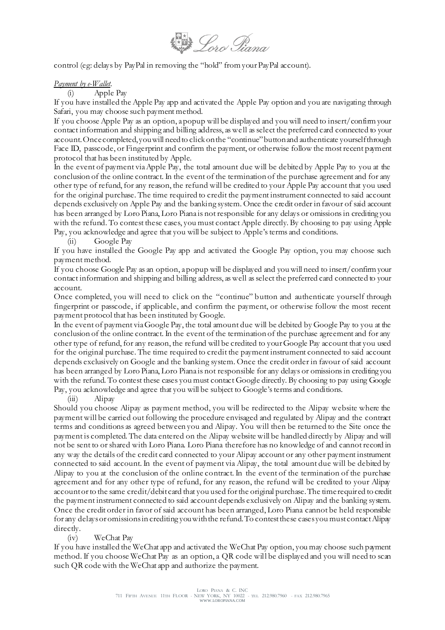

control (eg: delays by PayPal in removing the "hold" from your PayPal account).

#### *Payment by e-Wallet.*

(i) Apple Pay

If you have installed the Apple Pay app and activated the Apple Pay option and you are navigating through Safari, you may choose such payment method.

If you choose Apple Pay as an option, a popup will be displayed and you will need to insert/confirm your contact information and shipping and billing address, as we ll as select the preferred card connected to your account. Once completed, you will need to click on the "continue" button and authenticate yourself through Face ID, passcode, or Fingerprint and confirm the payment, or otherwise follow the most recent payment protocol that has been instituted by Apple.

In the event of payment via Apple Pay, the total amount due will be debited by Apple Pay to you at the conclusion of the online contract. In the event of the termination of the purchase agreement and for any other type of refund, for any reason, the refund will be credited to your Apple Pay account that you used for the original purchase. The time required to credit the payment instrument connected to said account depends exclusively on Apple Pay and the banking system. Once the credit order in favour of said account has been arranged by Loro Piana, Loro Piana is not responsible for any delays or omissions in crediting you with the refund. To contest these cases, you must contact Apple directly. By choosing to pay using Apple Pay, you acknowledge and agree that you will be subject to Apple's terms and conditions.

(ii) Google Pay

If you have installed the Google Pay app and activated the Google Pay option, you may choose such payment method.

If you choose Google Pay as an option, a popup will be displayed and you will need to insert/confirm your contact information and shipping and billing address, as well as select the preferred card connected to your account.

Once completed, you will need to click on the "continue" button and authenticate yourself through fingerprint or passcode, if applicable, and confirm the payment, or otherwise follow the most recent payment protocol that has been instituted by Google.

In the event of payment via Google Pay, the total amount due will be debited by Google Pay to you at the conclusion of the online contract. In the event of the termination of the purchase agreement and for any other type of refund, for any reason, the refund will be credited to your Google Pay account that you used for the original purchase. The time required to credit the payment instrument connected to said account depends exclusively on Google and the banking system. Once the credit order in favour of said account has been arranged by Loro Piana, Loro Piana is not responsible for any delays or omissions in crediting you with the refund. To contest these cases you must contact Google directly. By choosing to pay using Google Pay, you acknowledge and agree that you will be subject to Google's terms and conditions.

(iii) Alipay

Should you choose Alipay as payment method, you will be redirected to the Alipay website where the payment will be carried out following the procedure envisaged and regulated by Alipay and the contract terms and conditions as agreed between you and Alipay. You will then be returned to the Site once the payment is completed. The data entered on the Alipay website will be handled directly by Alipay and will not be sent to or shared with Loro Piana. Loro Piana therefore has no knowledge of and cannot record in any way the details of the credit card connected to your Alipay account or any other payment instrument connected to said account. In the event of payment via Alipay, the total amount due will be debited by Alipay to you at the conclusion of the online contract. In the event of the termination of the purchase agreement and for any other type of refund, for any reason, the refund will be credited to your Alipay account or to the same credit/debit card that you used for the original purchase. The time required to credit the payment instrument connected to said account depends exclusively on Alipay and the banking system. Once the credit order in favor of said account has been arranged, Loro Piana cannot be held responsible for any delays or omissions in crediting you with the refund. To contest these cases you must contact Alipay directly.

(iv) WeChat Pay

If you have installed the WeChat app and activated the WeChat Pay option, you may choose such payment method. If you choose WeChat Pay as an option, a QR code will be displayed and you will need to scan such QR code with the WeChat app and authorize the payment.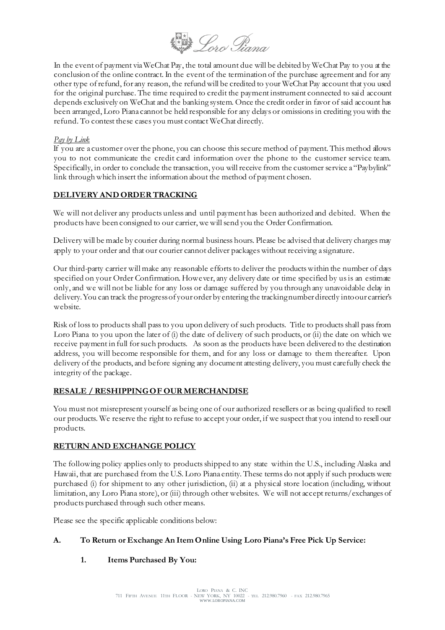

In the event of payment via WeChat Pay, the total amount due will be debited by WeChat Pay to you at the conclusion of the online contract. In the event of the termination of the purchase agreement and for any other type of refund, for any reason, the refund will be credited to your WeChat Pay account that you used for the original purchase. The time required to credit the payment instrument connected to sai d account depends exclusively on WeChat and the banking system. Once the credit order in favor of said account has been arranged, Loro Piana cannot be held responsible for any delays or omissions in crediting you with the refund. To contest these cases you must contact WeChat directly.

## *Pay by Link*

If you are a customer over the phone, you can choose this secure method of payment. This method allows you to not communicate the credit card information over the phone to the customer service team. Specifically, in order to conclude the transaction, you will receive from the customer service a "Paybylink" link through which insert the information about the method of payment chosen.

# **DELIVERY AND ORDER TRACKING**

We will not deliver any products unless and until payment has been authorized and debited. When the products have been consigned to our carrier, we will send you the Order Confirmation.

Delivery will be made by courier during normal business hours. Please be advised that delivery charges may apply to your order and that our courier cannot deliver packages without receiving a signature.

Our third-party carrier will make any reasonable efforts to deliver the products within the number of days specified on your Order Confirmation. However, any delivery date or time specified by us is an estimate only, and we will not be liable for any loss or damage suffered by you through any unavoidable delay in delivery. You can track the progress of your order by entering the tracking number directly into our carrier's website.

Risk of loss to products shall pass to you upon delivery of such products. Title to products shall pass from Loro Piana to you upon the later of (i) the date of delivery of such products, or (ii) the date on which we receive payment in full for such products. As soon as the products have been delivered to the destination address, you will become responsible for them, and for any loss or damage to them thereafter. Upon delivery of the products, and before signing any document attesting delivery, you must carefully check the integrity of the package.

# **RESALE / RESHIPPING OF OUR MERCHANDISE**

You must not misrepresent yourself as being one of our authorized resellers or as being qualified to resell our products. We reserve the right to refuse to accept your order, if we suspect that you intend to resell our products.

### **RETURN AND EXCHANGE POLICY**

The following policy applies only to products shipped to any state within the U.S., including Alaska and Hawaii, that are purchased from the U.S. Loro Piana entity. These terms do not apply if such products were purchased (i) for shipment to any other jurisdiction, (ii) at a physical store location (including, without limitation, any Loro Piana store), or (iii) through other websites. We will not accept returns/exchanges of products purchased through such other means.

Please see the specific applicable conditions below:

# **A. To Return or Exchange An Item Online Using Loro Piana's Free Pick Up Service:**

# **1. Items Purchased By You:**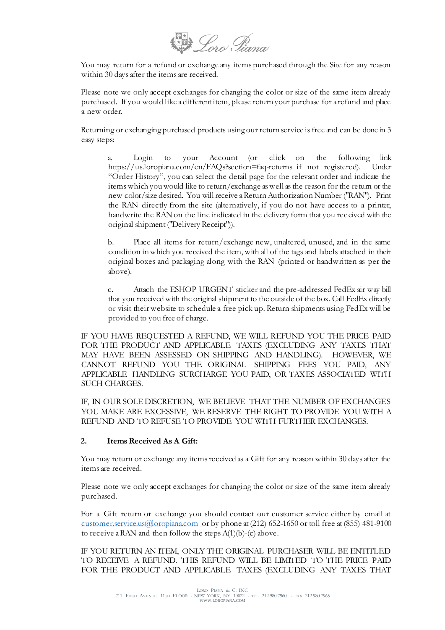**Loro Piana** 

You may return for a refund or exchange any items purchased through the Site for any reason within 30 days after the items are received.

Please note we only accept exchanges for changing the color or size of the same item already purchased. If you would like a different item, please return your purchase for a refund and place a new order.

Returning or exchanging purchased products using our return service is free and can be done in 3 easy steps:

a. Login to your Account (or click on the following link https://us.loropiana.com/en/FAQs?section=faq-returns if not registered). Under "Order History", you can select the detail page for the relevant order and indicate the items which you would like to return/exchange as well as the reason for the return or the new color/size desired. You will receive a Return Authorization Number ("RAN"). Print the RAN directly from the site (alternatively, if you do not have access to a printer, handwrite the RAN on the line indicated in the delivery form that you rec eived with the original shipment ("Delivery Receipt")).

b. Place all items for return/exchange new, unaltered, unused, and in the same condition in which you received the item, with all of the tags and labels attached in their original boxes and packaging along with the RAN (printed or handwritten as per the above).

c. Attach the ESHOP URGENT sticker and the pre-addressed FedEx air way bill that you received with the original shipment to the outside of the box. Call FedEx directly or visit their website to schedule a free pick up. Return shipments using FedEx will be provided to you free of charge.

IF YOU HAVE REQUESTED A REFUND, WE WILL REFUND YOU THE PRICE PAID FOR THE PRODUCT AND APPLICABLE TAXES (EXCLUDING ANY TAXES THAT MAY HAVE BEEN ASSESSED ON SHIPPING AND HANDLING). HOWEVER, WE CANNOT REFUND YOU THE ORIGINAL SHIPPING FEES YOU PAID, ANY APPLICABLE HANDLING SURCHARGE YOU PAID, OR TAXES ASSOCIATED WITH SUCH CHARGES.

IF, IN OUR SOLE DISCRETION, WE BELIEVE THAT THE NUMBER OF EXCHANGES YOU MAKE ARE EXCESSIVE, WE RESERVE THE RIGHT TO PROVIDE YOU WITH A REFUND AND TO REFUSE TO PROVIDE YOU WITH FURTHER EXCHANGES.

#### **2. Items Received As A Gift:**

You may return or exchange any items received as a Gift for any reason within 30 days after the items are received.

Please note we only accept exchanges for changing the color or size of the same item already purchased.

For a Gift return or exchange you should contact our customer service either by email at [customer.service.us@loropiana.com](mailto:customer.service.us@loropiana.com) or by phone at (212) 652-1650 or toll free at (855) 481-9100 to receive a RAN and then follow the steps  $A(1)(b)$ -(c) above.

IF YOU RETURN AN ITEM, ONLY THE ORIGINAL PURCHASER WILL BE ENTITLED TO RECEIVE A REFUND. THIS REFUND WILL BE LIMITED TO THE PRICE PAID FOR THE PRODUCT AND APPLICABLE TAXES (EXCLUDING ANY TAXES THAT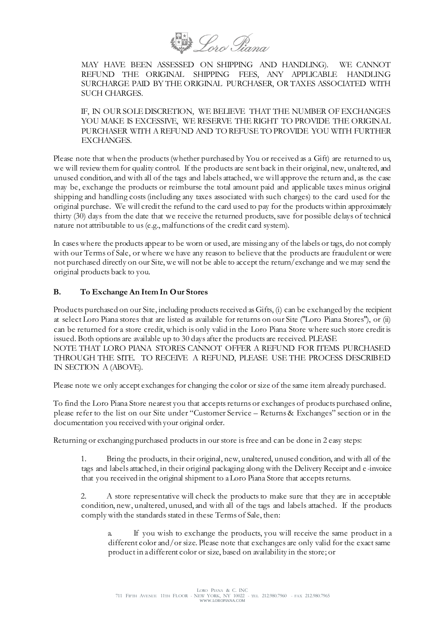

MAY HAVE BEEN ASSESSED ON SHIPPING AND HANDLING). WE CANNOT REFUND THE ORIGINAL SHIPPING FEES, ANY APPLICABLE HANDLING SURCHARGE PAID BY THE ORIGINAL PURCHASER, OR TAXES ASSOCIATED WITH SUCH CHARGES.

IF, IN OUR SOLE DISCRETION, WE BELIEVE THAT THE NUMBER OF EXCHANGES YOU MAKE IS EXCESSIVE, WE RESERVE THE RIGHT TO PROVIDE THE ORIGINAL PURCHASER WITH A REFUND AND TO REFUSE TO PROVIDE YOU WITH FURTHER EXCHANGES.

Please note that when the products (whether purchased by You or received as a Gift) are returned to us, we will review them for quality control. If the products are sent back in their original, new, unaltered, and unused condition, and with all of the tags and labels attached, we will approve the return and, as the case may be, exchange the products or reimburse the total amount paid and applicable taxes minus original shipping and handling costs (including any taxes associated with such charges) to the card used for the original purchase. We will credit the refund to the card used to pay for the products within approximately thirty (30) days from the date that we receive the returned products, save for possible delays of technical nature not attributable to us (e.g., malfunctions of the credit card system).

In cases where the products appear to be worn or used, are missing any of the labels or tags, do not comply with our Terms of Sale, or where we have any reason to believe that the products are fraudulent or were not purchased directly on our Site, we will not be able to accept the return/exchange and we may send the original products back to you.

### **B. To Exchange An Item In Our Stores**

Products purchased on our Site, including products received as Gifts, (i) can be exchanged by the recipient at select Loro Piana stores that are listed as available for returns on our Site ("Loro Piana Stores"), or (ii) can be returned for a store credit, which is only valid in the Loro Piana Store where such store credit is issued. Both options are available up to 30 days after the products are received. PLEASE NOTE THAT LORO PIANA STORES CANNOT OFFER A REFUND FOR ITEMS PURCHASED THROUGH THE SITE. TO RECEIVE A REFUND, PLEASE USE THE PROCESS DESCRIBED IN SECTION A (ABOVE).

Please note we only accept exchanges for changing the color or size of the same item already purchased.

To find the Loro Piana Store nearest you that accepts returns or exchanges of products purchased online, please refer to the list on our Site under "Customer Service – Returns & Exchanges" section or in the documentation you received with your original order.

Returning or exchanging purchased products in our store is free and can be done in 2 easy steps:

1. Bring the products, in their original, new, unaltered, unused condition, and with all of the tags and labels attached, in their original packaging along with the Delivery Receipt and e -invoice that you received in the original shipment to a Loro Piana Store that accepts returns.

2. A store representative will check the products to make sure that they are in acceptable condition, new, unaltered, unused, and with all of the tags and labels attached. If the products comply with the standards stated in these Terms of Sale, then:

a. If you wish to exchange the products, you will receive the same product in a different color and/or size. Please note that exchanges are only valid for the exact same product in a different color or size, based on availability in the store; or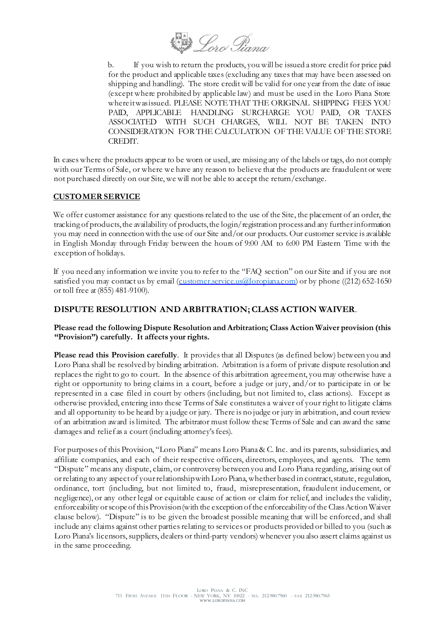Hero Piana

b. If you wish to return the products, you will be issued a store credit for price paid for the product and applicable taxes (excluding any taxes that may have been assessed on shipping and handling). The store credit will be valid for one year from the date of issue (except where prohibited by applicable law) and must be used in the Loro Piana Store where it was issued. PLEASE NOTE THAT THE ORIGINAL SHIPPING FEES YOU PAID, APPLICABLE HANDLING SURCHARGE YOU PAID, OR TAXES ASSOCIATED WITH SUCH CHARGES, WILL NOT BE TAKEN INTO CONSIDERATION FOR THE CALCULATION OF THE VALUE OF THE STORE CREDIT.

In cases where the products appear to be worn or used, are missing any of the labels or tags, do not comply with our Terms of Sale, or where we have any reason to believe that the products are fraudulent or were not purchased directly on our Site, we will not be able to accept the return/exchange.

### **CUSTOMER SERVICE**

We offer customer assistance for any questions related to the use of the Site, the placement of an order, the tracking of products, the availability of products, the login/registration process and any further information you may need in connection with the use of our Site and/or our products. Our customer service is available in English Monday through Friday between the hours of 9:00 AM to 6:00 PM Eastern Time with the exception of holidays.

If you need any information we invite you to refer to the "FAQ section" on our Site and if you are not satisfied you may contact us by email [\(customer.service.us@loropiana.com](mailto:customer.service.us@loropiana.com)) or by phone ((212) 652-1650 or toll free at (855) 481-9100).

### **DISPUTE RESOLUTION AND ARBITRATION; CLASS ACTION WAIVER**.

#### **Please read the following Dispute Resolution and Arbitration; Class Action Waiver provision (this "Provision") carefully. It affects your rights.**

**Please read this Provision carefully**. It provides that all Disputes (as defined below) between you and Loro Piana shall be resolved by binding arbitration. Arbitration is a form of private dispute resolution and replaces the right to go to court. In the absence of this arbitration agreement, you may otherwise have a right or opportunity to bring claims in a court, before a judge or jury, and/or to participate in or be represented in a case filed in court by others (including, but not limited to, class actions). Except as otherwise provided, entering into these Terms of Sale constitutes a waiver of your right to litigate claims and all opportunity to be heard by a judge or jury. There is no judge or jury in arbitration, and court review of an arbitration award is limited. The arbitrator must follow these Terms of Sale and can award the same damages and relief as a court (including attorney's fees).

For purposes of this Provision, "Loro Piana" means Loro Piana & C. Inc. and its parents, subsidiaries, and affiliate companies, and each of their respective officers, directors, employees, and agents. The term "Dispute" means any dispute, claim, or controversy between you and Loro Piana regarding, arising out of or relating to any aspect of your relationship with Loro Piana, whether based in contract, statute, regulation, ordinance, tort (including, but not limited to, fraud, misrepresentation, fraudulent inducement, or negligence), or any other legal or equitable cause of ac tion or claim for relief, and includes the validity, enforceability or scope of this Provision (with the exception of the enforceability of the Class Action Waiver clause below). "Dispute" is to be given the broadest possible meaning that will be enforced, and shall include any claims against other parties relating to services or products provided or billed to you (such as Loro Piana's licensors, suppliers, dealers or third-party vendors) whenever you also assert claims against us in the same proceeding.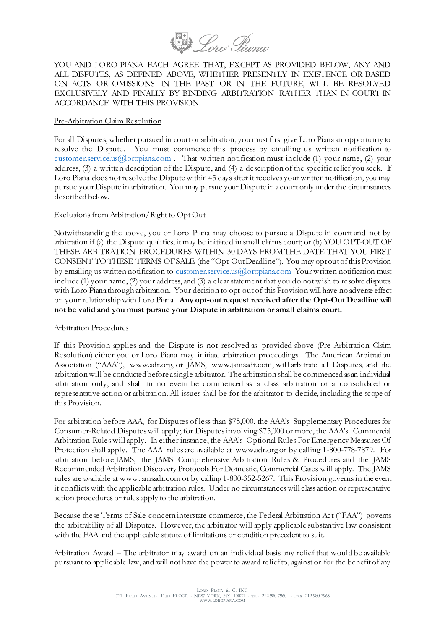

YOU AND LORO PIANA EACH AGREE THAT, EXCEPT AS PROVIDED BELOW, ANY AND ALL DISPUTES, AS DEFINED ABOVE, WHETHER PRESENTLY IN EXISTENCE OR BASED ON ACTS OR OMISSIONS IN THE PAST OR IN THE FUTURE, WILL BE RESOLVED EXCLUSIVELY AND FINALLY BY BINDING ARBITRATION RATHER THAN IN COURT IN ACCORDANCE WITH THIS PROVISION.

#### Pre-Arbitration Claim Resolution

For all Disputes, whether pursued in court or arbitration, you must first give Loro Piana an opportunity to resolve the Dispute. You must commence this process by emailing us written notification to [customer.service.us@loropiana.com](mailto:customer.service.us@loropiana.com) . That written notification must include (1) your name, (2) your address, (3) a written description of the Dispute, and (4) a description of the specific relief you seek. If Loro Piana does not resolve the Dispute within 45 days after it receives your written notification, you may pursue your Dispute in arbitration. You may pursue your Dispute in a court only under the circumstances described below.

#### Exclusions from Arbitration/Right to Opt Out

Notwithstanding the above, you or Loro Piana may choose to pursue a Dispute in court and not by arbitration if (a) the Dispute qualifies, it may be initiated in small claims court; or (b) YOU OPT-OUT OF THESE ARBITRATION PROCEDURES WITHIN 30 DAYS FROM THE DATE THAT YOU FIRST CONSENT TO THESE TERMS OF SALE (the "Opt-Out Deadline"). You may opt out of this Provision by emailing us written notification t[o customer.service.us@loropiana.com](mailto:customer.service.us@loropiana.com) Your written notification must include (1) your name, (2) your address, and (3) a clear statement that you do not wish to resolve disputes with Loro Piana through arbitration. Your decision to opt-out of this Provision will have no adverse effect on your relationship with Loro Piana. **Any opt-out request received after the Opt-Out Deadline will not be valid and you must pursue your Dispute in arbitration or small claims court.**

#### Arbitration Procedures

If this Provision applies and the Dispute is not resolved as provided above (Pre -Arbitration Claim Resolution) either you or Loro Piana may initiate arbitration proceedings. The American Arbitration Association ("AAA"), www.adr.org, or JAMS, www.jamsadr.com, will arbitrate all Disputes, and the arbitration will be conducted before a single arbitrator. The arbitration shall be commenced as an individual arbitration only, and shall in no event be commenced as a class arbitration or a consolidated or representative action or arbitration. All issues shall be for the arbitrator to decide, including the scope of this Provision.

For arbitration before AAA, for Disputes of less than \$75,000, the AAA's Supplementary Procedures for Consumer-Related Disputes will apply; for Disputes involving \$75,000 or more, the AAA's Commercial Arbitration Rules will apply. In either instance, the AAA's Optional Rules For Emergency Measures Of Protection shall apply. The AAA rules are available at www.adr.org or by calling 1-800-778-7879. For arbitration before JAMS, the JAMS Comprehensive Arbitration Rules & Procedures and the JAMS Recommended Arbitration Discovery Protocols For Domestic, Commercial Cases will apply. The JAMS rules are available at www.jamsadr.com or by calling 1-800-352-5267. This Provision governs in the event it conflicts with the applicable arbitration rules. Under no circumstances will class action or representative action procedures or rules apply to the arbitration.

Because these Terms of Sale concern interstate commerce, the Federal Arbitration Act ("FAA") governs the arbitrability of all Disputes. However, the arbitrator will apply applicable substantive law consistent with the FAA and the applicable statute of limitations or condition precedent to suit.

Arbitration Award – The arbitrator may award on an individual basis any relief that would be available pursuant to applicable law, and will not have the power to award relief to, against or for the benefit of any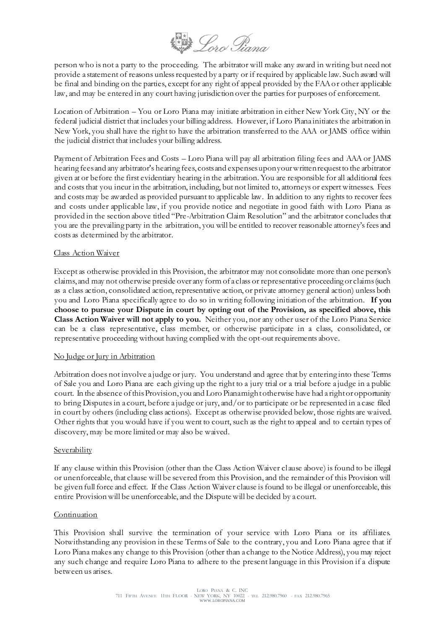**Doro Piana** 

person who is not a party to the proceeding. The arbitrator will make any award in writing but need not provide a statement of reasons unless requested by a party or if required by applicable law. Such award will be final and binding on the parties, except for any right of appeal provided by the FAA or other applicable law, and may be entered in any court having jurisdiction over the parties for purposes of enforcement.

Location of Arbitration – You or Loro Piana may initiate arbitration in either New York City, NY or the federal judicial district that includes your billing address. However, if Loro Piana initiates the arbitration in New York, you shall have the right to have the arbitration transferred to the AAA or JAMS office within the judicial district that includes your billing address.

Payment of Arbitration Fees and Costs – Loro Piana will pay all arbitration filing fees and AAA or JAMS hearing fees and any arbitrator's hearing fees, costs and expenses upon your written request to the arbitrator given at or before the first evidentiary hearing in the arbitration. You are responsible for all additional fees and costs that you incur in the arbitration, including, but not limited to, attorneys or expert witnesses. Fees and costs may be awarded as provided pursuant to applicable law. In addition to any rights to recover fees and costs under applicable law, if you provide notice and negotiate in good faith with Loro Piana as provided in the section above titled "Pre-Arbitration Claim Resolution" and the arbitrator concludes that you are the prevailing party in the arbitration, you will be entitled to recover reasonable attorney's fees and costs as determined by the arbitrator.

#### Class Action Waiver

Except as otherwise provided in this Provision, the arbitrator may not consolidate more than one person's claims, and may not otherwise preside over any form of a class or representative proceeding or claims (such as a class action, consolidated action, representative action, or private attorney general action) unless both you and Loro Piana specifically agree to do so in writing following initiation of the arbitration. **If you choose to pursue your Dispute in court by opting out of the Provision, as specified above, this Class Action Waiver will not apply to you.** Neither you, nor any other user of the Loro Piana Service can be a class representative, class member, or otherwise participate in a class, consolidated, or representative proceeding without having complied with the opt-out requirements above.

#### No Judge or Jury in Arbitration

Arbitration does not involve a judge or jury. You understand and agree that by entering into these Terms of Sale you and Loro Piana are each giving up the right to a jury trial or a trial before a judge in a public court. In the absence of this Provision, you and Loro Piana might otherwise have had a right or opportunity to bring Disputes in a court, before a judge or jury, and/or to participate or be represented in a case filed in court by others (including class actions). Except as otherwise provided below, those rights are waived. Other rights that you would have if you went to court, such as the right to appeal and to certain types of discovery, may be more limited or may also be waived.

### **Severability**

If any clause within this Provision (other than the Class Action Waiver cl ause above) is found to be illegal or unenforceable, that clause will be severed from this Provision, and the remainder of this Provision will be given full force and effect. If the Class Action Waiver clause is found to be illegal or unenforceable, this entire Provision will be unenforceable, and the Dispute will be decided by a court.

### **Continuation**

This Provision shall survive the termination of your service with Loro Piana or its affiliates. Notwithstanding any provision in these Terms of Sale to the contrary, you and Loro Piana agree that if Loro Piana makes any change to this Provision (other than a change to the Notice Address), you may reject any such change and require Loro Piana to adhere to the present language in this Provision if a dispute between us arises.